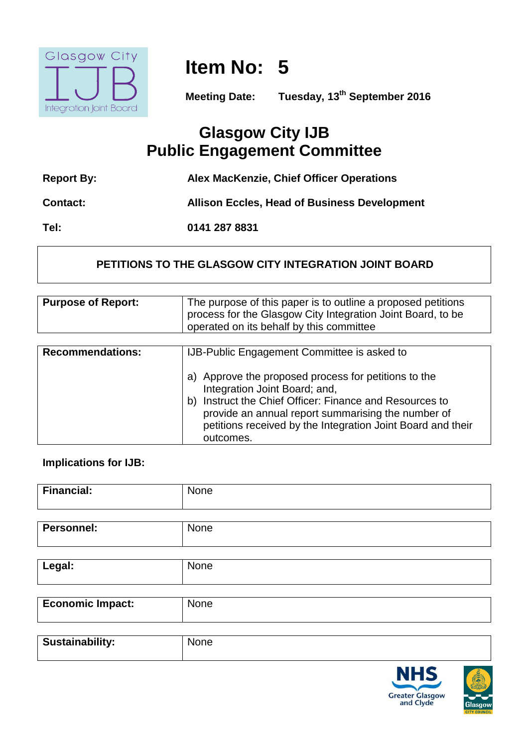

**Item No: 5**

**Meeting Date: Tuesday, 13th September 2016**

# **Glasgow City IJB Public Engagement Committee**

| <b>Report By:</b> | Alex MacKenzie, Chief Officer Operations            |
|-------------------|-----------------------------------------------------|
| <b>Contact:</b>   | <b>Allison Eccles, Head of Business Development</b> |
| Tel:              | 0141 287 8831                                       |

# **PETITIONS TO THE GLASGOW CITY INTEGRATION JOINT BOARD**

| <b>Purpose of Report:</b> | The purpose of this paper is to outline a proposed petitions<br>process for the Glasgow City Integration Joint Board, to be<br>operated on its behalf by this committee                                                                                                               |
|---------------------------|---------------------------------------------------------------------------------------------------------------------------------------------------------------------------------------------------------------------------------------------------------------------------------------|
|                           |                                                                                                                                                                                                                                                                                       |
| <b>Recommendations:</b>   | IJB-Public Engagement Committee is asked to                                                                                                                                                                                                                                           |
|                           | a) Approve the proposed process for petitions to the<br>Integration Joint Board; and,<br>Instruct the Chief Officer: Finance and Resources to<br>b)<br>provide an annual report summarising the number of<br>petitions received by the Integration Joint Board and their<br>outcomes. |

# **Implications for IJB:**

| <b>Financial:</b>       | None |
|-------------------------|------|
| Personnel:              | None |
| Legal:                  | None |
| <b>Economic Impact:</b> | None |
| <b>Sustainability:</b>  | None |

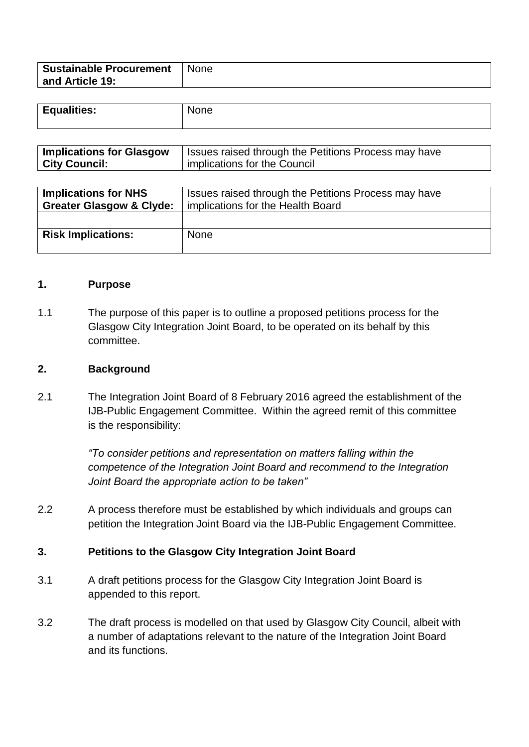| <b>Sustainable Procurement</b> | None |
|--------------------------------|------|
| and Article 19:                |      |
|                                |      |

| <b>Equalities:</b> | None |
|--------------------|------|
|                    |      |

| <b>Implications for Glasgow</b> | <b>Issues raised through the Petitions Process may have</b> |
|---------------------------------|-------------------------------------------------------------|
| <b>City Council:</b>            | implications for the Council                                |

| <b>Implications for NHS</b><br><b>Greater Glasgow &amp; Clyde:</b> | Issues raised through the Petitions Process may have<br>implications for the Health Board |
|--------------------------------------------------------------------|-------------------------------------------------------------------------------------------|
|                                                                    |                                                                                           |
| <b>Risk Implications:</b>                                          | <b>None</b>                                                                               |
|                                                                    |                                                                                           |

#### **1. Purpose**

1.1 The purpose of this paper is to outline a proposed petitions process for the Glasgow City Integration Joint Board, to be operated on its behalf by this committee.

#### **2. Background**

2.1 The Integration Joint Board of 8 February 2016 agreed the establishment of the IJB-Public Engagement Committee. Within the agreed remit of this committee is the responsibility:

> *"To consider petitions and representation on matters falling within the competence of the Integration Joint Board and recommend to the Integration Joint Board the appropriate action to be taken"*

2.2 A process therefore must be established by which individuals and groups can petition the Integration Joint Board via the IJB-Public Engagement Committee.

#### **3. Petitions to the Glasgow City Integration Joint Board**

- 3.1 A draft petitions process for the Glasgow City Integration Joint Board is appended to this report.
- 3.2 The draft process is modelled on that used by Glasgow City Council, albeit with a number of adaptations relevant to the nature of the Integration Joint Board and its functions.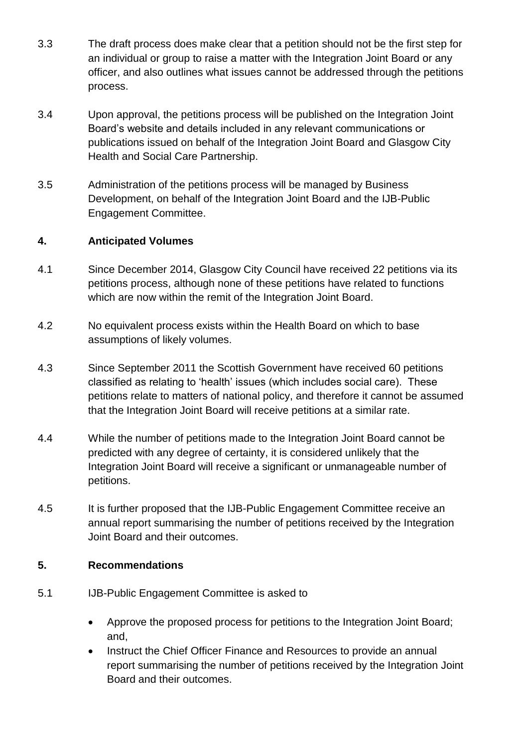- 3.3 The draft process does make clear that a petition should not be the first step for an individual or group to raise a matter with the Integration Joint Board or any officer, and also outlines what issues cannot be addressed through the petitions process.
- 3.4 Upon approval, the petitions process will be published on the Integration Joint Board's website and details included in any relevant communications or publications issued on behalf of the Integration Joint Board and Glasgow City Health and Social Care Partnership.
- 3.5 Administration of the petitions process will be managed by Business Development, on behalf of the Integration Joint Board and the IJB-Public Engagement Committee.

# **4. Anticipated Volumes**

- 4.1 Since December 2014, Glasgow City Council have received 22 petitions via its petitions process, although none of these petitions have related to functions which are now within the remit of the Integration Joint Board.
- 4.2 No equivalent process exists within the Health Board on which to base assumptions of likely volumes.
- 4.3 Since September 2011 the Scottish Government have received 60 petitions classified as relating to 'health' issues (which includes social care). These petitions relate to matters of national policy, and therefore it cannot be assumed that the Integration Joint Board will receive petitions at a similar rate.
- 4.4 While the number of petitions made to the Integration Joint Board cannot be predicted with any degree of certainty, it is considered unlikely that the Integration Joint Board will receive a significant or unmanageable number of petitions.
- 4.5 It is further proposed that the IJB-Public Engagement Committee receive an annual report summarising the number of petitions received by the Integration Joint Board and their outcomes.

# **5. Recommendations**

- 5.1 IJB-Public Engagement Committee is asked to
	- Approve the proposed process for petitions to the Integration Joint Board; and,
	- Instruct the Chief Officer Finance and Resources to provide an annual report summarising the number of petitions received by the Integration Joint Board and their outcomes.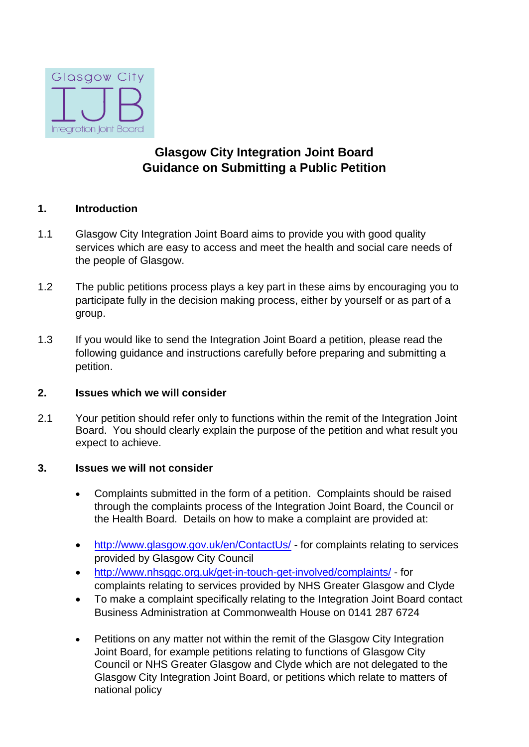

# **Glasgow City Integration Joint Board Guidance on Submitting a Public Petition**

#### **1. Introduction**

- 1.1 Glasgow City Integration Joint Board aims to provide you with good quality services which are easy to access and meet the health and social care needs of the people of Glasgow.
- 1.2 The public petitions process plays a key part in these aims by encouraging you to participate fully in the decision making process, either by yourself or as part of a group.
- 1.3 If you would like to send the Integration Joint Board a petition, please read the following guidance and instructions carefully before preparing and submitting a petition.

#### **2. Issues which we will consider**

2.1 Your petition should refer only to functions within the remit of the Integration Joint Board. You should clearly explain the purpose of the petition and what result you expect to achieve.

#### **3. Issues we will not consider**

- Complaints submitted in the form of a petition. Complaints should be raised through the complaints process of the Integration Joint Board, the Council or the Health Board. Details on how to make a complaint are provided at:
- <http://www.glasgow.gov.uk/en/ContactUs/> for complaints relating to services provided by Glasgow City Council
- <http://www.nhsggc.org.uk/get-in-touch-get-involved/complaints/> for complaints relating to services provided by NHS Greater Glasgow and Clyde
- To make a complaint specifically relating to the Integration Joint Board contact Business Administration at Commonwealth House on 0141 287 6724
- Petitions on any matter not within the remit of the Glasgow City Integration Joint Board, for example petitions relating to functions of Glasgow City Council or NHS Greater Glasgow and Clyde which are not delegated to the Glasgow City Integration Joint Board, or petitions which relate to matters of national policy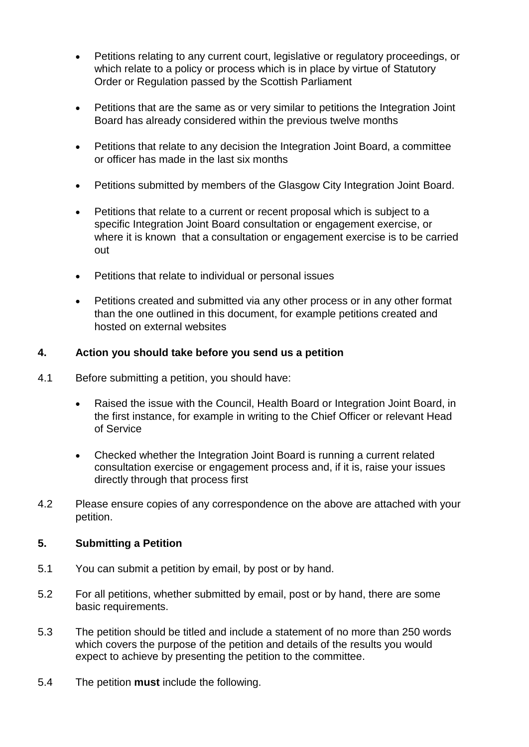- Petitions relating to any current court, legislative or regulatory proceedings, or which relate to a policy or process which is in place by virtue of Statutory Order or Regulation passed by the Scottish Parliament
- Petitions that are the same as or very similar to petitions the Integration Joint Board has already considered within the previous twelve months
- Petitions that relate to any decision the Integration Joint Board, a committee or officer has made in the last six months
- Petitions submitted by members of the Glasgow City Integration Joint Board.
- Petitions that relate to a current or recent proposal which is subject to a specific Integration Joint Board consultation or engagement exercise, or where it is known that a consultation or engagement exercise is to be carried out
- Petitions that relate to individual or personal issues
- Petitions created and submitted via any other process or in any other format than the one outlined in this document, for example petitions created and hosted on external websites

#### **4. Action you should take before you send us a petition**

- 4.1 Before submitting a petition, you should have:
	- Raised the issue with the Council, Health Board or Integration Joint Board, in the first instance, for example in writing to the Chief Officer or relevant Head of Service
	- Checked whether the Integration Joint Board is running a current related consultation exercise or engagement process and, if it is, raise your issues directly through that process first
- 4.2 Please ensure copies of any correspondence on the above are attached with your petition.

#### **5. Submitting a Petition**

- 5.1 You can submit a petition by email, by post or by hand.
- 5.2 For all petitions, whether submitted by email, post or by hand, there are some basic requirements.
- 5.3 The petition should be titled and include a statement of no more than 250 words which covers the purpose of the petition and details of the results you would expect to achieve by presenting the petition to the committee.
- 5.4 The petition **must** include the following.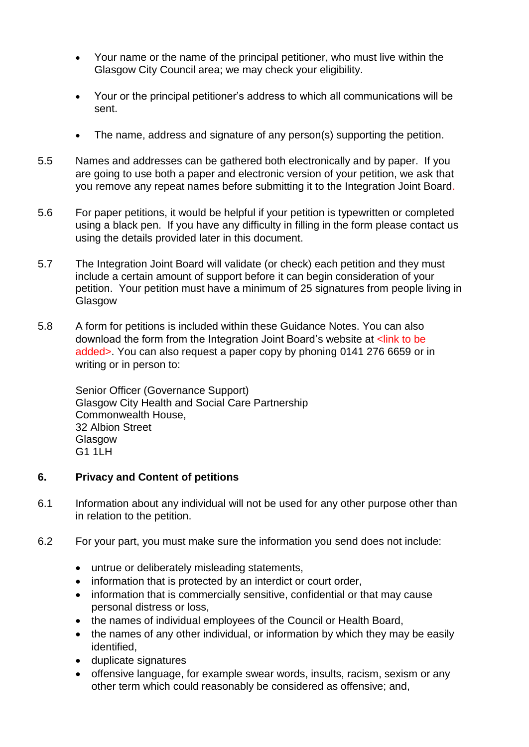- Your name or the name of the principal petitioner, who must live within the Glasgow City Council area; we may check your eligibility.
- Your or the principal petitioner's address to which all communications will be sent.
- The name, address and signature of any person(s) supporting the petition.
- 5.5 Names and addresses can be gathered both electronically and by paper. If you are going to use both a paper and electronic version of your petition, we ask that you remove any repeat names before submitting it to the Integration Joint Board.
- 5.6 For paper petitions, it would be helpful if your petition is typewritten or completed using a black pen. If you have any difficulty in filling in the form please contact us using the details provided later in this document.
- 5.7 The Integration Joint Board will validate (or check) each petition and they must include a certain amount of support before it can begin consideration of your petition. Your petition must have a minimum of 25 signatures from people living in Glasgow
- 5.8 A form for petitions is included within these Guidance Notes. You can also download the form from the Integration Joint Board's website at <link to be added[>.](http://www.glasgow.gov.uk/) You can also request a paper copy by phoning 0141 276 6659 or in writing or in person to:

Senior Officer (Governance Support) Glasgow City Health and Social Care Partnership Commonwealth House, 32 Albion Street Glasgow G1 1LH

# **6. Privacy and Content of petitions**

- 6.1 Information about any individual will not be used for any other purpose other than in relation to the petition.
- 6.2 For your part, you must make sure the information you send does not include:
	- untrue or deliberately misleading statements,
	- information that is protected by an interdict or court order,
	- information that is commercially sensitive, confidential or that may cause personal distress or loss,
	- the names of individual employees of the Council or Health Board,
	- the names of any other individual, or information by which they may be easily identified,
	- duplicate signatures
	- offensive language, for example swear words, insults, racism, sexism or any other term which could reasonably be considered as offensive; and,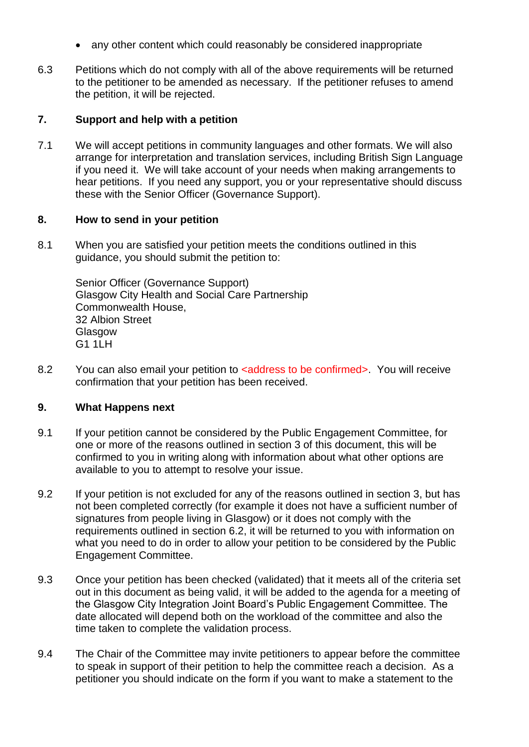- any other content which could reasonably be considered inappropriate
- 6.3 Petitions which do not comply with all of the above requirements will be returned to the petitioner to be amended as necessary. If the petitioner refuses to amend the petition, it will be rejected.

#### **7. Support and help with a petition**

7.1 We will accept petitions in community languages and other formats. We will also arrange for interpretation and translation services, including British Sign Language if you need it. We will take account of your needs when making arrangements to hear petitions. If you need any support, you or your representative should discuss these with the Senior Officer (Governance Support).

#### **8. How to send in your petition**

8.1 When you are satisfied your petition meets the conditions outlined in this guidance, you should submit the petition to:

> Senior Officer (Governance Support) Glasgow City Health and Social Care Partnership Commonwealth House, 32 Albion Street **Glasgow** G1 1LH

8.2 You can also email your petition to <address to be confirmed>. You will receive confirmation that your petition has been received.

# **9. What Happens next**

- 9.1 If your petition cannot be considered by the Public Engagement Committee, for one or more of the reasons outlined in section 3 of this document, this will be confirmed to you in writing along with information about what other options are available to you to attempt to resolve your issue.
- 9.2 If your petition is not excluded for any of the reasons outlined in section 3, but has not been completed correctly (for example it does not have a sufficient number of signatures from people living in Glasgow) or it does not comply with the requirements outlined in section 6.2, it will be returned to you with information on what you need to do in order to allow your petition to be considered by the Public Engagement Committee.
- 9.3 Once your petition has been checked (validated) that it meets all of the criteria set out in this document as being valid, it will be added to the agenda for a meeting of the Glasgow City Integration Joint Board's Public Engagement Committee. The date allocated will depend both on the workload of the committee and also the time taken to complete the validation process.
- 9.4 The Chair of the Committee may invite petitioners to appear before the committee to speak in support of their petition to help the committee reach a decision. As a petitioner you should indicate on the form if you want to make a statement to the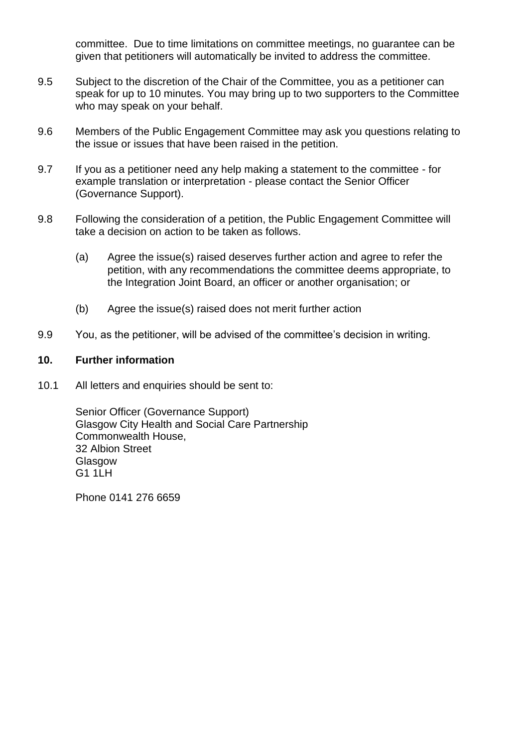committee. Due to time limitations on committee meetings, no guarantee can be given that petitioners will automatically be invited to address the committee.

- 9.5 Subject to the discretion of the Chair of the Committee, you as a petitioner can speak for up to 10 minutes. You may bring up to two supporters to the Committee who may speak on your behalf.
- 9.6 Members of the Public Engagement Committee may ask you questions relating to the issue or issues that have been raised in the petition.
- 9.7 If you as a petitioner need any help making a statement to the committee for example translation or interpretation - please contact the Senior Officer (Governance Support).
- 9.8 Following the consideration of a petition, the Public Engagement Committee will take a decision on action to be taken as follows.
	- (a) Agree the issue(s) raised deserves further action and agree to refer the petition, with any recommendations the committee deems appropriate, to the Integration Joint Board, an officer or another organisation; or
	- (b) Agree the issue(s) raised does not merit further action
- 9.9 You, as the petitioner, will be advised of the committee's decision in writing.

#### **10. Further information**

10.1 All letters and enquiries should be sent to:

Senior Officer (Governance Support) Glasgow City Health and Social Care Partnership Commonwealth House, 32 Albion Street Glasgow G1 1LH

Phone 0141 276 6659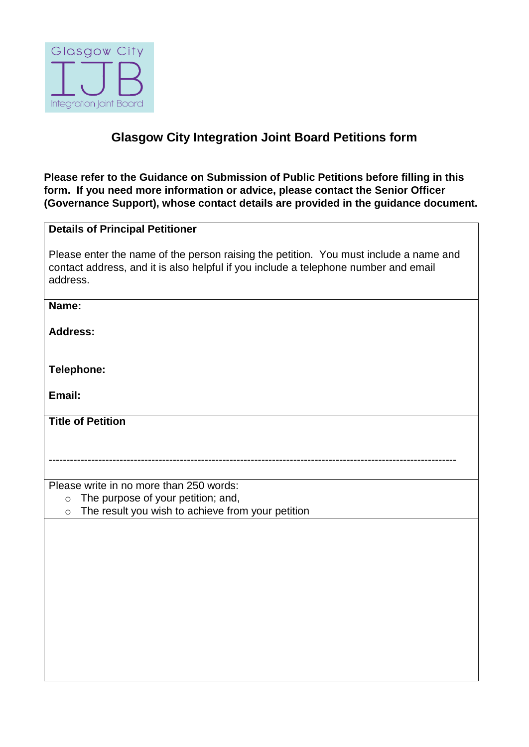

# **Glasgow City Integration Joint Board Petitions form**

**Please refer to the Guidance on Submission of Public Petitions before filling in this form. If you need more information or advice, please contact the Senior Officer (Governance Support), whose contact details are provided in the guidance document.** 

# **Details of Principal Petitioner**

Please enter the name of the person raising the petition. You must include a name and contact address, and it is also helpful if you include a telephone number and email address.

-------------------------------------------------------------------------------------------------------------------

#### **Name:**

**Address:**

**Telephone:**

**Email:**

**Title of Petition**

Please write in no more than 250 words:

- o The purpose of your petition; and,
- o The result you wish to achieve from your petition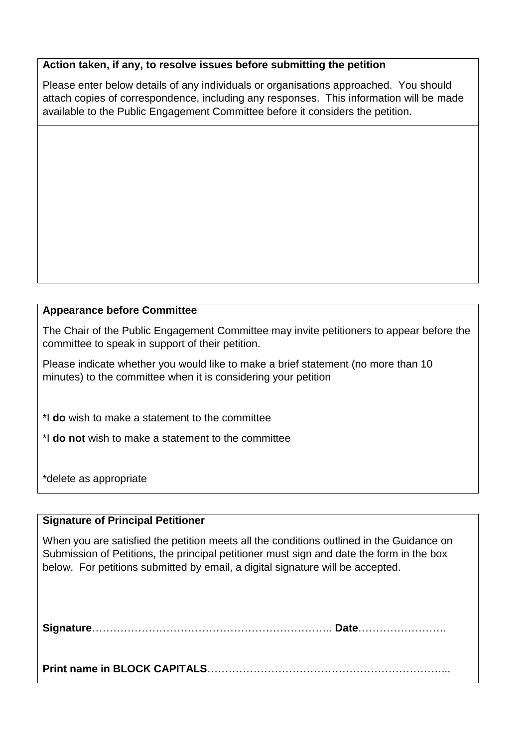#### **Action taken, if any, to resolve issues before submitting the petition**

Please enter below details of any individuals or organisations approached. You should attach copies of correspondence, including any responses. This information will be made available to the Public Engagement Committee before it considers the petition.

# **Appearance before Committee**

The Chair of the Public Engagement Committee may invite petitioners to appear before the committee to speak in support of their petition.

Please indicate whether you would like to make a brief statement (no more than 10 minutes) to the committee when it is considering your petition

\*I **do** wish to make a statement to the committee

\*I **do not** wish to make a statement to the committee

\*delete as appropriate

# **Signature of Principal Petitioner**

When you are satisfied the petition meets all the conditions outlined in the Guidance on Submission of Petitions, the principal petitioner must sign and date the form in the box below. For petitions submitted by email, a digital signature will be accepted.

**Signature**………………………………………………………….. **Date**…………………….

**Print name in BLOCK CAPITALS**…………………………………………………………...